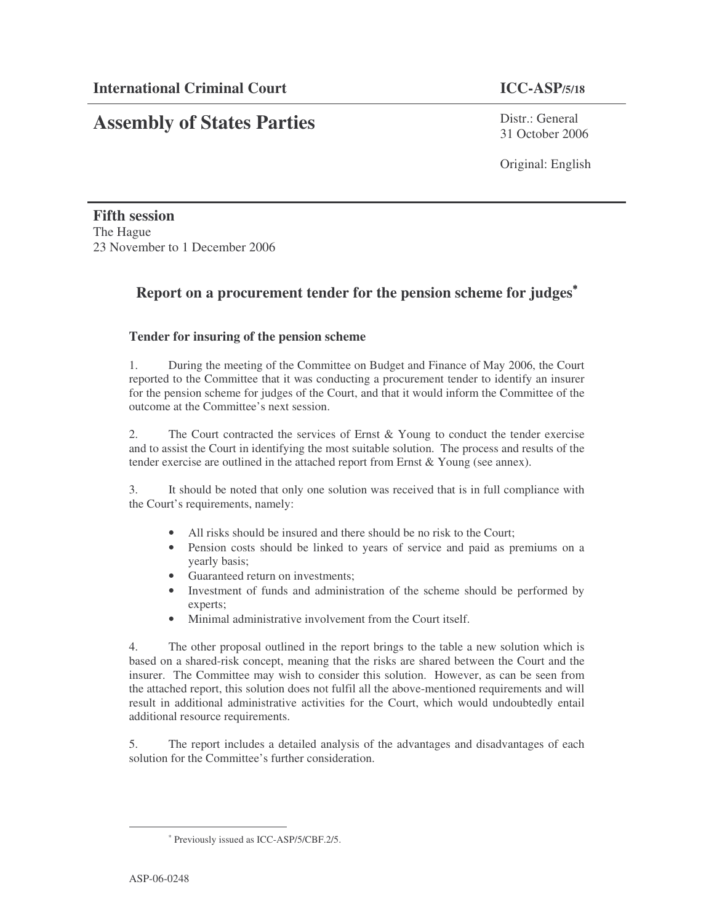# **Assembly of States Parties**

Distr · General 31 October 2006

Original: English

**Fifth session** The Hague 23 November to 1 December 2006

## **Report on a procurement tender for the pension scheme for judges** ∗

### **Tender for insuring of the pension scheme**

1. During the meeting of the Committee on Budget and Finance of May 2006, the Court reported to the Committee that it was conducting a procurement tender to identify an insurer for the pension scheme for judges of the Court, and that it would inform the Committee of the outcome at the Committee's next session.

2. The Court contracted the services of Ernst & Young to conduct the tender exercise and to assist the Court in identifying the most suitable solution. The process and results of the tender exercise are outlined in the attached report from Ernst & Young (see annex).

3. It should be noted that only one solution was received that is in full compliance with the Court's requirements, namely:

- All risks should be insured and there should be no risk to the Court;
- Pension costs should be linked to years of service and paid as premiums on a yearly basis;
- Guaranteed return on investments;
- Investment of funds and administration of the scheme should be performed by experts;
- Minimal administrative involvement from the Court itself.

4. The other proposal outlined in the report brings to the table a new solution which is based on a shared-risk concept, meaning that the risks are shared between the Court and the insurer. The Committee may wish to consider this solution. However, as can be seen from the attached report, this solution does not fulfil all the above-mentioned requirements and will result in additional administrative activities for the Court, which would undoubtedly entail additional resource requirements.

5. The report includes a detailed analysis of the advantages and disadvantages of each solution for the Committee's further consideration.

<sup>∗</sup> Previously issued as ICC-ASP/5/CBF.2/5.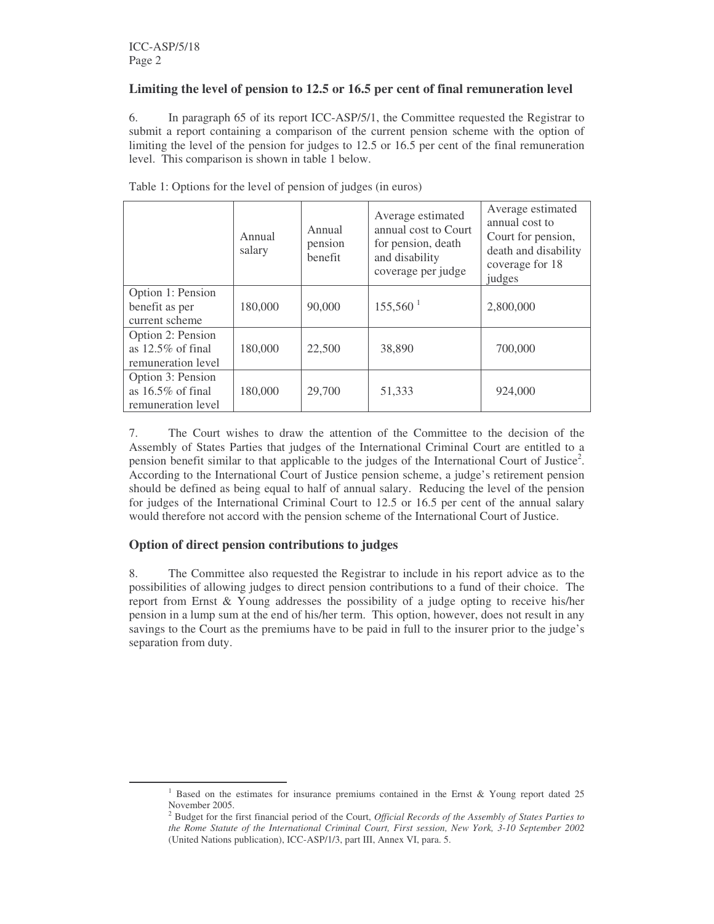#### **Limiting the level of pension to 12.5 or 16.5 per cent of final remuneration level**

6. In paragraph 65 of its report ICC-ASP/5/1, the Committee requested the Registrar to submit a report containing a comparison of the current pension scheme with the option of limiting the level of the pension for judges to 12.5 or 16.5 per cent of the final remuneration level. This comparison is shown in table 1 below.

|                                                                 | Annual<br>salary | Annual<br>pension<br>benefit | Average estimated<br>annual cost to Court<br>for pension, death<br>and disability<br>coverage per judge | Average estimated<br>annual cost to<br>Court for pension,<br>death and disability<br>coverage for 18<br>judges |
|-----------------------------------------------------------------|------------------|------------------------------|---------------------------------------------------------------------------------------------------------|----------------------------------------------------------------------------------------------------------------|
| Option 1: Pension<br>benefit as per<br>current scheme           | 180,000          | 90,000                       | $155,560$ <sup>1</sup>                                                                                  | 2,800,000                                                                                                      |
| Option 2: Pension<br>as $12.5\%$ of final<br>remuneration level | 180,000          | 22,500                       | 38,890                                                                                                  | 700,000                                                                                                        |
| Option 3: Pension<br>as $16.5\%$ of final<br>remuneration level | 180,000          | 29,700                       | 51,333                                                                                                  | 924,000                                                                                                        |

Table 1: Options for the level of pension of judges (in euros)

7. The Court wishes to draw the attention of the Committee to the decision of the Assembly of States Parties that judges of the International Criminal Court are entitled to a pension benefit similar to that applicable to the judges of the International Court of Justice<sup>2</sup>. According to the International Court of Justice pension scheme, a judge's retirement pension should be defined as being equal to half of annual salary. Reducing the level of the pension for judges of the International Criminal Court to 12.5 or 16.5 per cent of the annual salary would therefore not accord with the pension scheme of the International Court of Justice.

#### **Option of direct pension contributions to judges**

8. The Committee also requested the Registrar to include in his report advice as to the possibilities of allowing judges to direct pension contributions to a fund of their choice. The report from Ernst & Young addresses the possibility of a judge opting to receive his/her pension in a lump sum at the end of his/her term. This option, however, does not result in any savings to the Court as the premiums have to be paid in full to the insurer prior to the judge's separation from duty.

 $1$  Based on the estimates for insurance premiums contained in the Ernst & Young report dated 25 November 2005.

<sup>2</sup> Budget for the first financial period of the Court, *Official Records of the Assembly of States Parties to the Rome Statute of the International Criminal Court, First session, New York, 3-10 September 2002* (United Nations publication), ICC-ASP/1/3, part III, Annex VI, para. 5.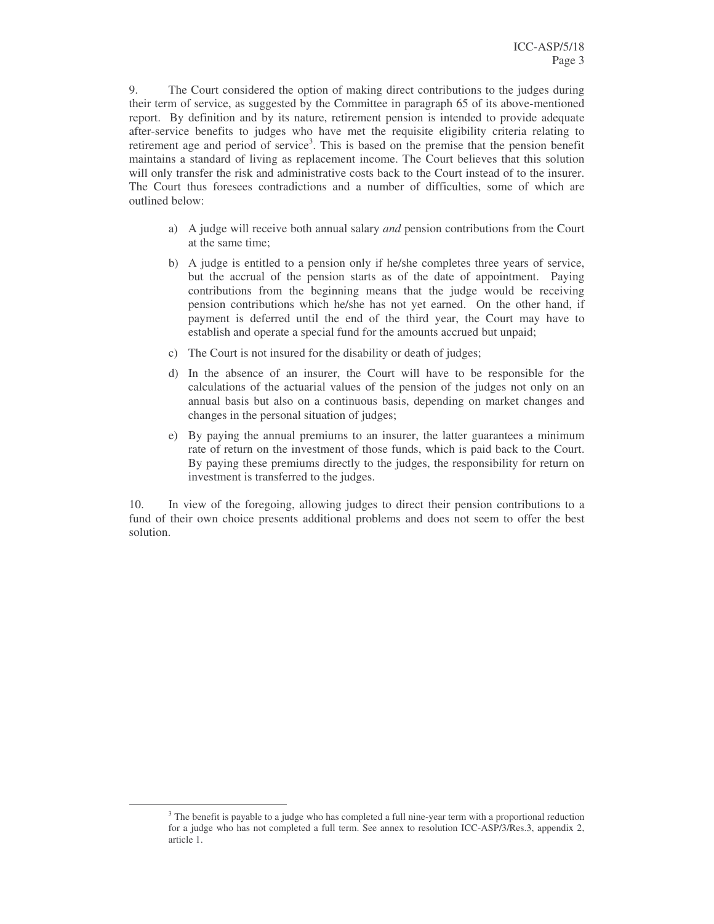9. The Court considered the option of making direct contributions to the judges during their term of service, as suggested by the Committee in paragraph 65 of its above-mentioned report. By definition and by its nature, retirement pension is intended to provide adequate after-service benefits to judges who have met the requisite eligibility criteria relating to retirement age and period of service<sup>3</sup>. This is based on the premise that the pension benefit maintains a standard of living as replacement income. The Court believes that this solution will only transfer the risk and administrative costs back to the Court instead of to the insurer. The Court thus foresees contradictions and a number of difficulties, some of which are outlined below:

- a) A judge will receive both annual salary *and* pension contributions from the Court at the same time;
- b) A judge is entitled to a pension only if he/she completes three years of service, but the accrual of the pension starts as of the date of appointment. Paying contributions from the beginning means that the judge would be receiving pension contributions which he/she has not yet earned. On the other hand, if payment is deferred until the end of the third year, the Court may have to establish and operate a special fund for the amounts accrued but unpaid;
- c) The Court is not insured for the disability or death of judges;
- d) In the absence of an insurer, the Court will have to be responsible for the calculations of the actuarial values of the pension of the judges not only on an annual basis but also on a continuous basis, depending on market changes and changes in the personal situation of judges;
- e) By paying the annual premiums to an insurer, the latter guarantees a minimum rate of return on the investment of those funds, which is paid back to the Court. By paying these premiums directly to the judges, the responsibility for return on investment is transferred to the judges.

10. In view of the foregoing, allowing judges to direct their pension contributions to a fund of their own choice presents additional problems and does not seem to offer the best solution.

<sup>&</sup>lt;sup>3</sup> The benefit is payable to a judge who has completed a full nine-year term with a proportional reduction for a judge who has not completed a full term. See annex to resolution ICC-ASP/3/Res.3, appendix 2, article 1.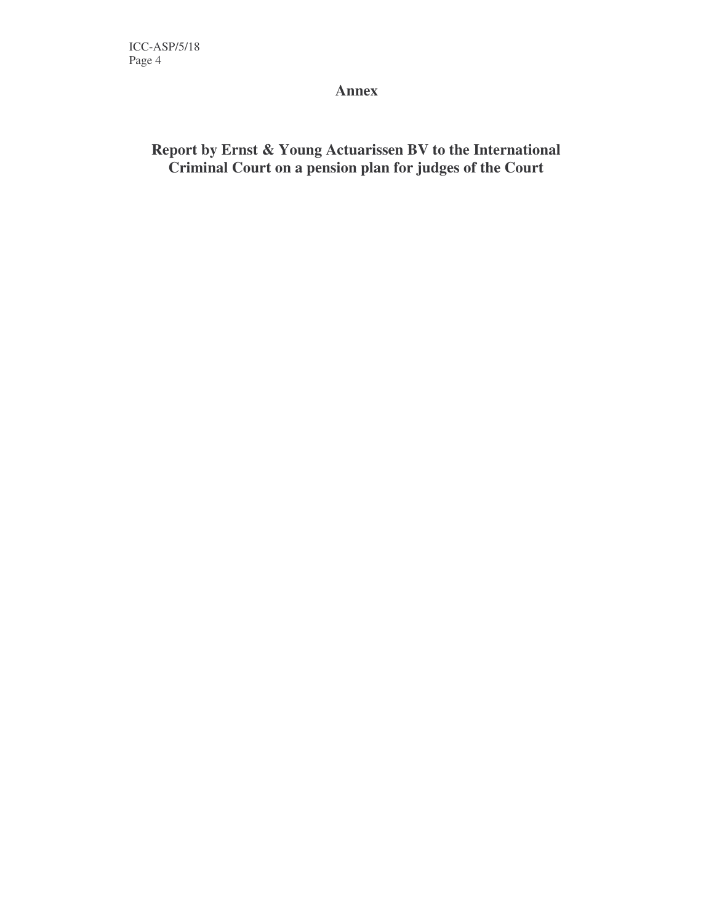**Annex**

## **Report by Ernst & Young Actuarissen BV to the International Criminal Court on a pension plan for judges of the Court**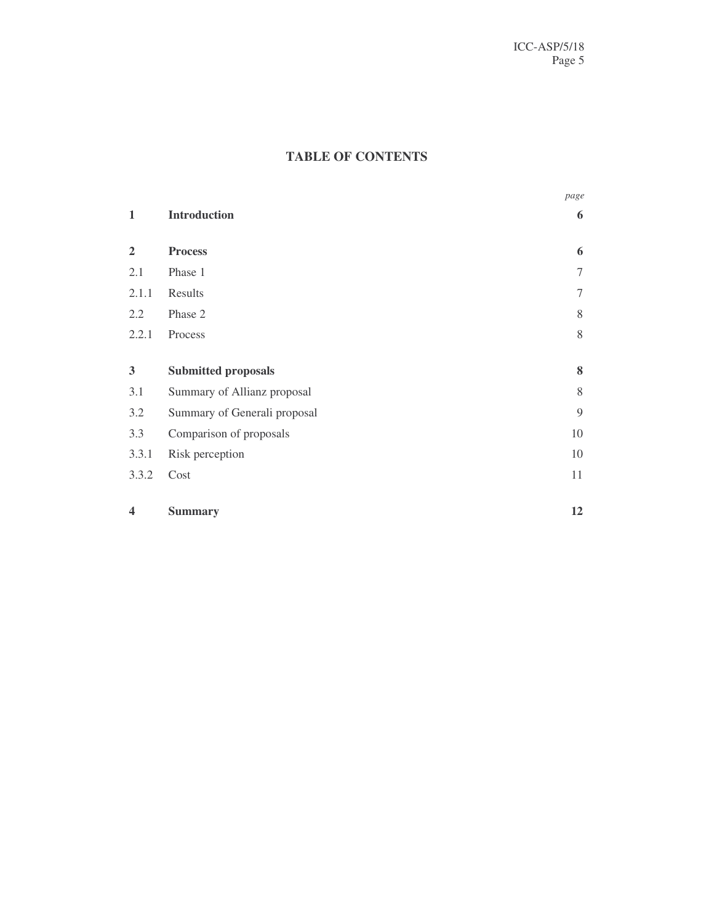## **TABLE OF CONTENTS**

|                |                              | page   |
|----------------|------------------------------|--------|
| $\mathbf 1$    | <b>Introduction</b>          | 6      |
| $\overline{2}$ | <b>Process</b>               | 6      |
| 2.1            | Phase 1                      | $\tau$ |
| 2.1.1          | Results                      | $\tau$ |
| 2.2            | Phase 2                      | $8\,$  |
| 2.2.1          | Process                      | $8\,$  |
| 3              | <b>Submitted proposals</b>   | 8      |
| 3.1            | Summary of Allianz proposal  | 8      |
| 3.2            | Summary of Generali proposal | 9      |
| 3.3            | Comparison of proposals      | 10     |
| 3.3.1          | Risk perception              | 10     |
| 3.3.2          | Cost                         | 11     |
| 4              | <b>Summary</b>               | 12     |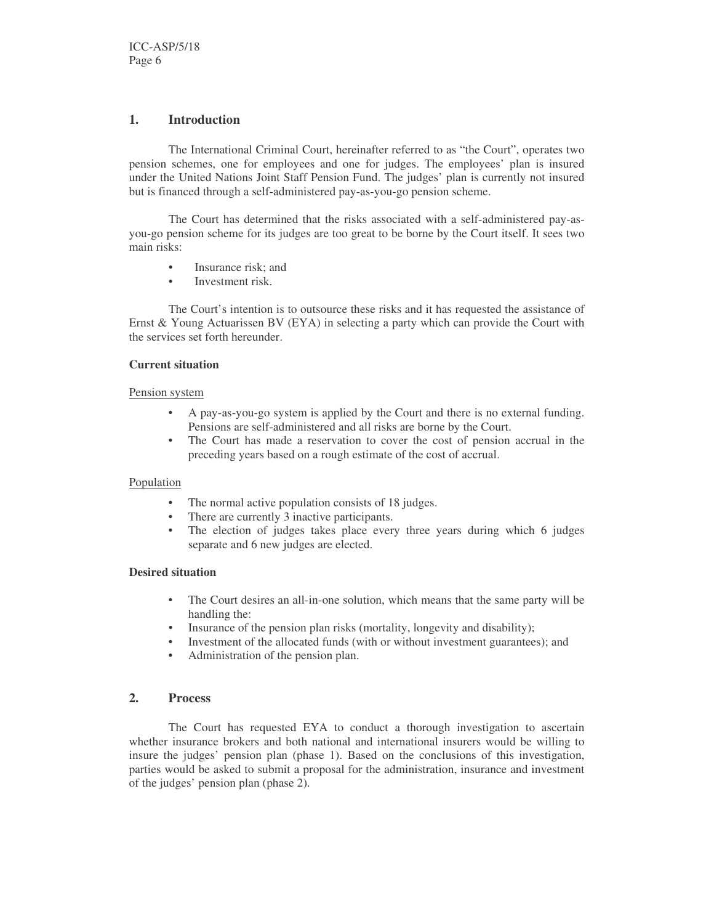#### **1. Introduction**

The International Criminal Court, hereinafter referred to as "the Court", operates two pension schemes, one for employees and one for judges. The employees' plan is insured under the United Nations Joint Staff Pension Fund. The judges' plan is currently not insured but is financed through a self-administered pay-as-you-go pension scheme.

The Court has determined that the risks associated with a self-administered pay-asyou-go pension scheme for its judges are too great to be borne by the Court itself. It sees two main risks:

- Insurance risk; and
- Investment risk.

The Court's intention is to outsource these risks and it has requested the assistance of Ernst & Young Actuarissen BV (EYA) in selecting a party which can provide the Court with the services set forth hereunder.

#### **Current situation**

#### Pension system

- A pay-as-you-go system is applied by the Court and there is no external funding. Pensions are self-administered and all risks are borne by the Court.
- The Court has made a reservation to cover the cost of pension accrual in the preceding years based on a rough estimate of the cost of accrual.

#### Population

- The normal active population consists of 18 judges.<br>• There are currently 3 inactive narticinants
- There are currently 3 inactive participants.
- The election of judges takes place every three years during which 6 judges separate and 6 new judges are elected.

#### **Desired situation**

- The Court desires an all-in-one solution, which means that the same party will be handling the:
- Insurance of the pension plan risks (mortality, longevity and disability);
- Investment of the allocated funds (with or without investment guarantees); and
- Administration of the pension plan.

#### **2. Process**

The Court has requested EYA to conduct a thorough investigation to ascertain whether insurance brokers and both national and international insurers would be willing to insure the judges' pension plan (phase 1). Based on the conclusions of this investigation, parties would be asked to submit a proposal for the administration, insurance and investment of the judges' pension plan (phase 2).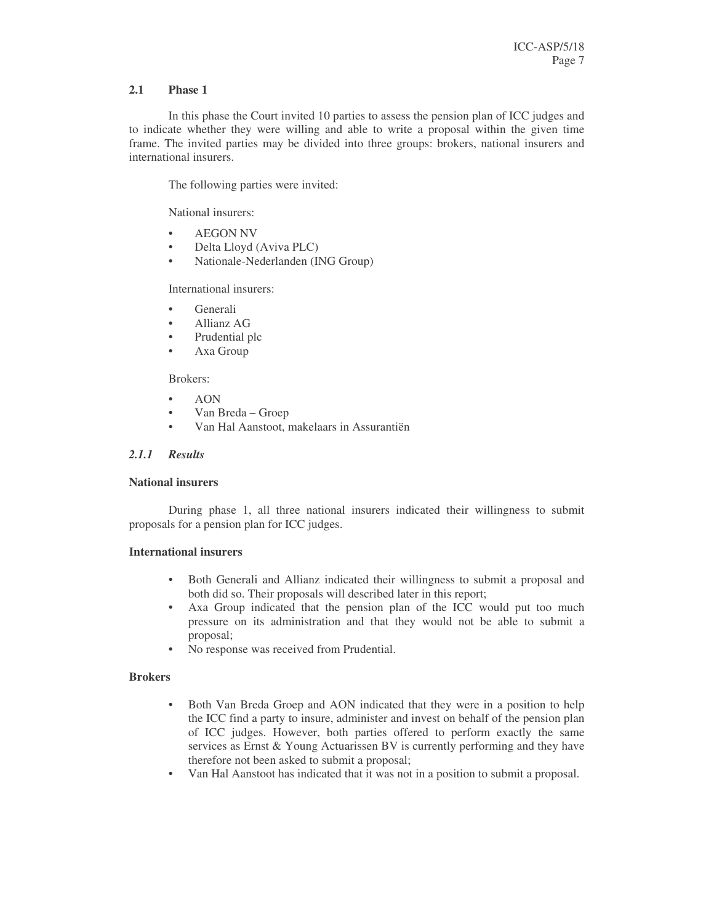#### **2.1 Phase 1**

In this phase the Court invited 10 parties to assess the pension plan of ICC judges and to indicate whether they were willing and able to write a proposal within the given time frame. The invited parties may be divided into three groups: brokers, national insurers and international insurers.

The following parties were invited:

National insurers:

- AEGON NV
- Delta Lloyd (Aviva PLC)
- Nationale-Nederlanden (ING Group)

International insurers:

- Generali
- Allianz AG
- Prudential plc
- Axa Group

#### Brokers:

- AON
- Van Breda Groep
- Van Hal Aanstoot, makelaars in Assurantiën

#### *2.1.1 Results*

#### **National insurers**

During phase 1, all three national insurers indicated their willingness to submit proposals for a pension plan for ICC judges.

#### **International insurers**

- Both Generali and Allianz indicated their willingness to submit a proposal and both did so. Their proposals will described later in this report;
- Axa Group indicated that the pension plan of the ICC would put too much pressure on its administration and that they would not be able to submit a proposal;
- No response was received from Prudential.

#### **Brokers**

- Both Van Breda Groep and AON indicated that they were in a position to help the ICC find a party to insure, administer and invest on behalf of the pension plan of ICC judges. However, both parties offered to perform exactly the same services as Ernst & Young Actuarissen BV is currently performing and they have therefore not been asked to submit a proposal;
- Van Hal Aanstoot has indicated that it was not in a position to submit a proposal.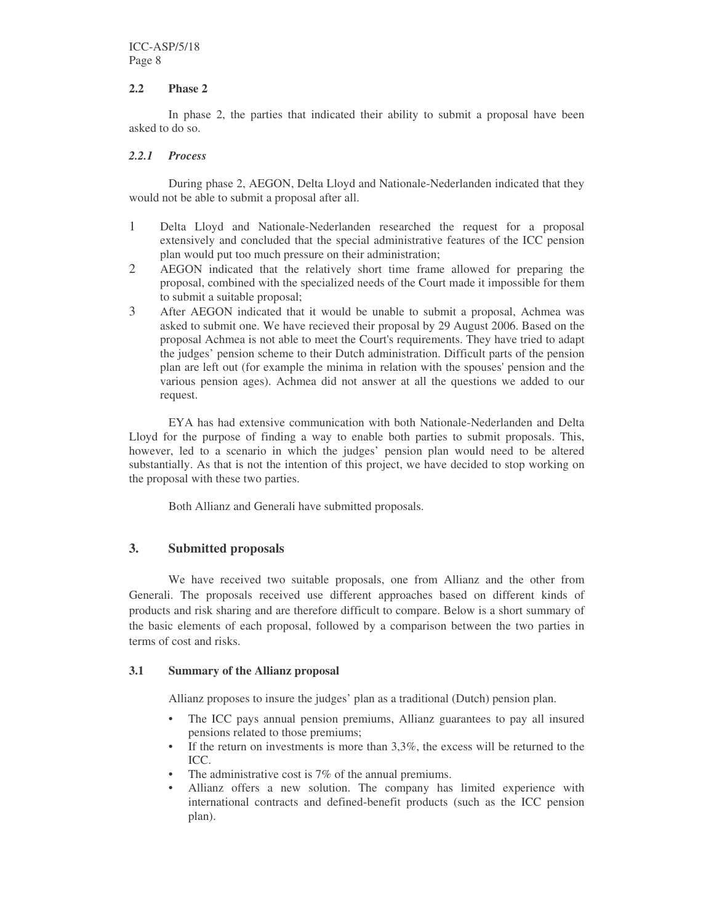#### **2.2 Phase 2**

In phase 2, the parties that indicated their ability to submit a proposal have been asked to do so.

#### *2.2.1 Process*

During phase 2, AEGON, Delta Lloyd and Nationale-Nederlanden indicated that they would not be able to submit a proposal after all.

- 1 Delta Lloyd and Nationale-Nederlanden researched the request for a proposal extensively and concluded that the special administrative features of the ICC pension plan would put too much pressure on their administration;
- 2 AEGON indicated that the relatively short time frame allowed for preparing the proposal, combined with the specialized needs of the Court made it impossible for them to submit a suitable proposal;
- 3 After AEGON indicated that it would be unable to submit a proposal, Achmea was asked to submit one. We have recieved their proposal by 29 August 2006. Based on the proposal Achmea is not able to meet the Court's requirements. They have tried to adapt the judges' pension scheme to their Dutch administration. Difficult parts of the pension plan are left out (for example the minima in relation with the spouses'pension and the various pension ages). Achmea did not answer at all the questions we added to our request.

EYA has had extensive communication with both Nationale-Nederlanden and Delta Lloyd for the purpose of finding a way to enable both parties to submit proposals. This, however, led to a scenario in which the judges' pension plan would need to be altered substantially. As that is not the intention of this project, we have decided to stop working on the proposal with these two parties.

Both Allianz and Generali have submitted proposals.

#### **3. Submitted proposals**

We have received two suitable proposals, one from Allianz and the other from Generali. The proposals received use different approaches based on different kinds of products and risk sharing and are therefore difficult to compare. Below is a short summary of the basic elements of each proposal, followed by a comparison between the two parties in terms of cost and risks.

#### **3.1 Summary of the Allianz proposal**

Allianz proposes to insure the judges' plan as a traditional (Dutch) pension plan.

- The ICC pays annual pension premiums, Allianz guarantees to pay all insured pensions related to those premiums;
- If the return on investments is more than  $3,3\%$ , the excess will be returned to the ICC.
- The administrative cost is 7% of the annual premiums.
- Allianz offers a new solution. The company has limited experience with international contracts and defined-benefit products (such as the ICC pension plan).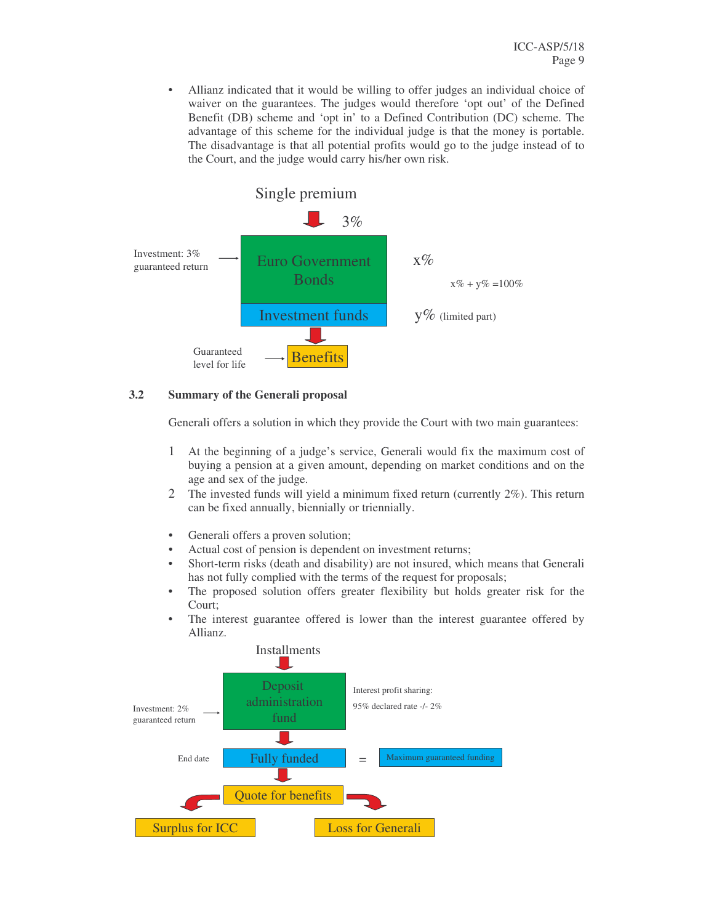• Allianz indicated that it would be willing to offer judges an individual choice of waiver on the guarantees. The judges would therefore 'opt out' of the Defined Benefit (DB) scheme and 'opt in' to a Defined Contribution (DC) scheme. The advantage of this scheme for the individual judge is that the money is portable. The disadvantage is that all potential profits would go to the judge instead of to the Court, and the judge would carry his/her own risk.



#### **3.2 Summary of the Generali proposal**

Generali offers a solution in which they provide the Court with two main guarantees:

- 1 At the beginning of a judge's service, Generali would fix the maximum cost of buying a pension at a given amount, depending on market conditions and on the age and sex of the judge.
- 2 The invested funds will yield a minimum fixed return (currently 2%). This return can be fixed annually, biennially or triennially.
- Generali offers a proven solution;
- Actual cost of pension is dependent on investment returns;
- Short-term risks (death and disability) are not insured, which means that Generali has not fully complied with the terms of the request for proposals;
- The proposed solution offers greater flexibility but holds greater risk for the Court;
- The interest guarantee offered is lower than the interest guarantee offered by Allianz.

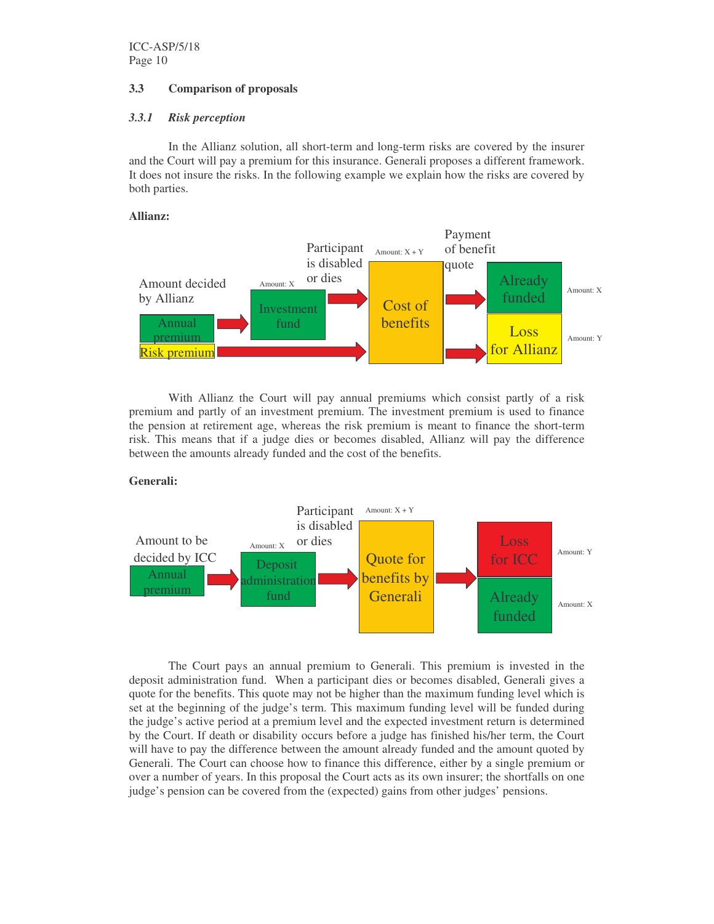#### **3.3 Comparison of proposals**

#### *3.3.1 Risk perception*

In the Allianz solution, all short-term and long-term risks are covered by the insurer and the Court will pay a premium for this insurance. Generali proposes a different framework. It does not insure the risks. In the following example we explain how the risks are covered by both parties.

#### **Allianz:**



With Allianz the Court will pay annual premiums which consist partly of a risk premium and partly of an investment premium. The investment premium is used to finance the pension at retirement age, whereas the risk premium is meant to finance the short-term risk. This means that if a judge dies or becomes disabled, Allianz will pay the difference between the amounts already funded and the cost of the benefits.

#### **Generali:**



The Court pays an annual premium to Generali. This premium is invested in the deposit administration fund. When a participant dies or becomes disabled, Generali gives a quote for the benefits. This quote may not be higher than the maximum funding level which is set at the beginning of the judge's term. This maximum funding level will be funded during the judge's active period at a premium level and the expected investment return is determined by the Court. If death or disability occurs before a judge has finished his/her term, the Court will have to pay the difference between the amount already funded and the amount quoted by Generali. The Court can choose how to finance this difference, either by a single premium or over a number of years. In this proposal the Court acts as its own insurer; the shortfalls on one judge's pension can be covered from the (expected) gains from other judges' pensions.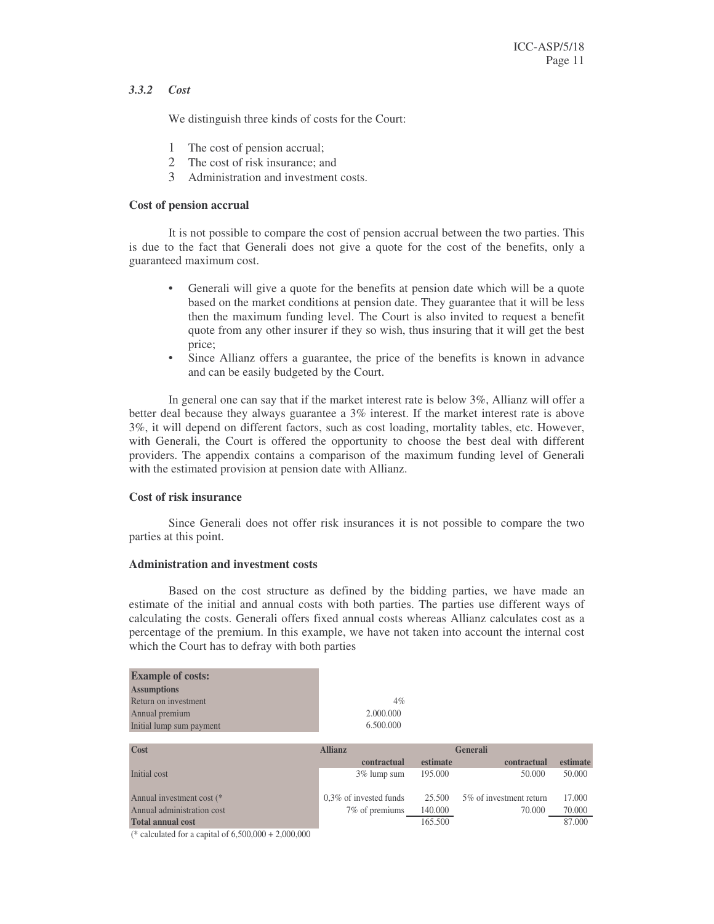#### *3.3.2 Cost*

We distinguish three kinds of costs for the Court:

- 1 The cost of pension accrual;
- 2 The cost of risk insurance; and
- 3 Administration and investment costs.

#### **Cost of pension accrual**

It is not possible to compare the cost of pension accrual between the two parties. This is due to the fact that Generali does not give a quote for the cost of the benefits, only a guaranteed maximum cost.

- Generali will give a quote for the benefits at pension date which will be a quote based on the market conditions at pension date. They guarantee that it will be less then the maximum funding level. The Court is also invited to request a benefit quote from any other insurer if they so wish, thus insuring that it will get the best price;
- Since Allianz offers a guarantee, the price of the benefits is known in advance and can be easily budgeted by the Court.

In general one can say that if the market interest rate is below 3%, Allianz will offer a better deal because they always guarantee a 3% interest. If the market interest rate is above 3%, it will depend on different factors, such as cost loading, mortality tables, etc. However, with Generali, the Court is offered the opportunity to choose the best deal with different providers. The appendix contains a comparison of the maximum funding level of Generali with the estimated provision at pension date with Allianz.

#### **Cost of risk insurance**

Since Generali does not offer risk insurances it is not possible to compare the two parties at this point.

#### **Administration and investment costs**

Based on the cost structure as defined by the bidding parties, we have made an estimate of the initial and annual costs with both parties. The parties use different ways of calculating the costs. Generali offers fixed annual costs whereas Allianz calculates cost as a percentage of the premium. In this example, we have not taken into account the internal cost which the Court has to defray with both parties

| <b>Example of costs:</b>   |                           |          |                         |          |
|----------------------------|---------------------------|----------|-------------------------|----------|
| <b>Assumptions</b>         |                           |          |                         |          |
| Return on investment       | $4\%$                     |          |                         |          |
| Annual premium             | 2.000.000                 |          |                         |          |
| Initial lump sum payment   | 6.500.000                 |          |                         |          |
|                            |                           |          |                         |          |
| Cost                       | <b>Allianz</b>            |          | <b>Generali</b>         |          |
|                            | contractual               | estimate | contractual             | estimate |
| Initial cost               | 3\% lump sum              | 195.000  | 50.000                  | 50.000   |
|                            |                           |          |                         |          |
| Annual investment cost (*  | $0.3\%$ of invested funds | 25.500   | 5% of investment return | 17.000   |
| Annual administration cost | 7% of premiums            | 140.000  | 70.000                  | 70.000   |
| <b>Total annual cost</b>   |                           | 165.500  |                         | 87.000   |

(\* calculated for a capital of 6,500,000 + 2,000,000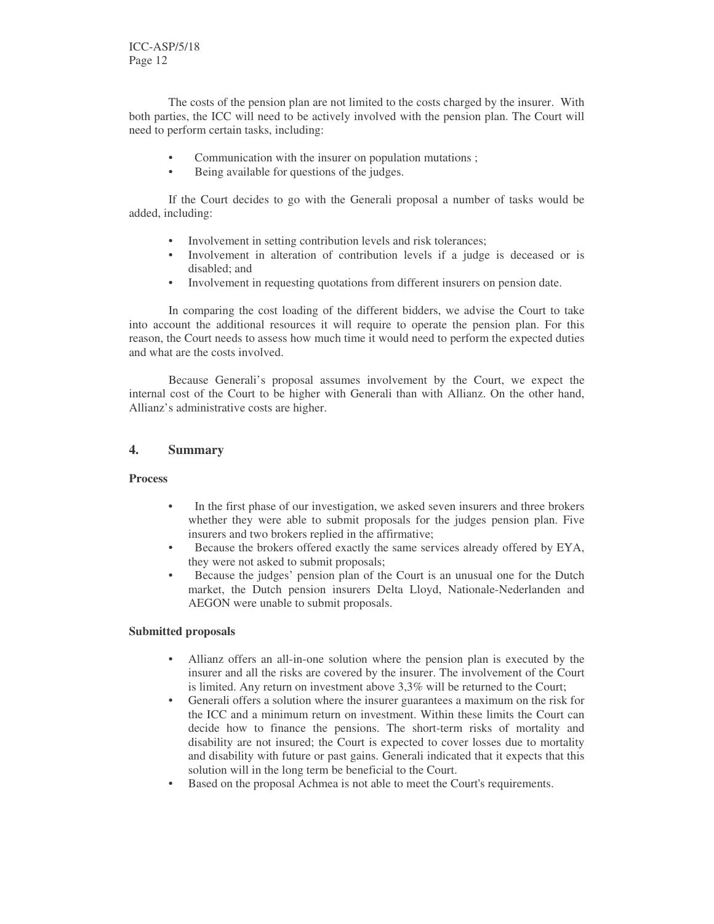ICC-ASP/5/18 Page 12

The costs of the pension plan are not limited to the costs charged by the insurer. With both parties, the ICC will need to be actively involved with the pension plan. The Court will need to perform certain tasks, including:

- Communication with the insurer on population mutations ;
- Being available for questions of the judges.

If the Court decides to go with the Generali proposal a number of tasks would be added, including:

- Involvement in setting contribution levels and risk tolerances;
- Involvement in alteration of contribution levels if a judge is deceased or is disabled; and
- Involvement in requesting quotations from different insurers on pension date.

In comparing the cost loading of the different bidders, we advise the Court to take into account the additional resources it will require to operate the pension plan. For this reason, the Court needs to assess how much time it would need to perform the expected duties and what are the costs involved.

Because Generali's proposal assumes involvement by the Court, we expect the internal cost of the Court to be higher with Generali than with Allianz. On the other hand, Allianz's administrative costs are higher.

#### **4. Summary**

#### **Process**

- In the first phase of our investigation, we asked seven insurers and three brokers whether they were able to submit proposals for the judges pension plan. Five insurers and two brokers replied in the affirmative;
- Because the brokers offered exactly the same services already offered by EYA, they were not asked to submit proposals;
- Because the judges' pension plan of the Court is an unusual one for the Dutch market, the Dutch pension insurers Delta Lloyd, Nationale-Nederlanden and AEGON were unable to submit proposals.

#### **Submitted proposals**

- Allianz offers an all-in-one solution where the pension plan is executed by the insurer and all the risks are covered by the insurer. The involvement of the Court is limited. Any return on investment above 3,3% will be returned to the Court;
- Generali offers a solution where the insurer guarantees a maximum on the risk for the ICC and a minimum return on investment. Within these limits the Court can decide how to finance the pensions. The short-term risks of mortality and disability are not insured; the Court is expected to cover losses due to mortality and disability with future or past gains. Generali indicated that it expects that this solution will in the long term be beneficial to the Court.
- Based on the proposal Achmea is not able to meet the Court's requirements.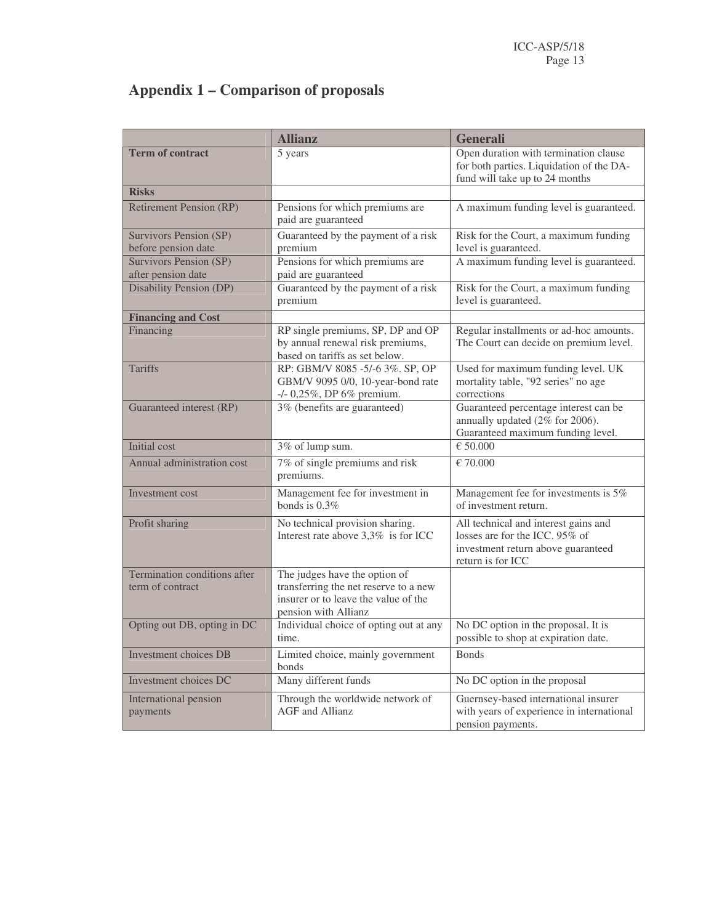# **Appendix 1 – Comparison of proposals**

|                                                     | <b>Allianz</b>                                                                                                                         | Generali                                                                                                                          |
|-----------------------------------------------------|----------------------------------------------------------------------------------------------------------------------------------------|-----------------------------------------------------------------------------------------------------------------------------------|
| <b>Term of contract</b>                             | 5 years                                                                                                                                | Open duration with termination clause<br>for both parties. Liquidation of the DA-<br>fund will take up to 24 months               |
| <b>Risks</b>                                        |                                                                                                                                        |                                                                                                                                   |
| <b>Retirement Pension (RP)</b>                      | Pensions for which premiums are<br>paid are guaranteed                                                                                 | A maximum funding level is guaranteed.                                                                                            |
| Survivors Pension (SP)<br>before pension date       | Guaranteed by the payment of a risk<br>premium                                                                                         | Risk for the Court, a maximum funding<br>level is guaranteed.                                                                     |
| <b>Survivors Pension (SP)</b><br>after pension date | Pensions for which premiums are<br>paid are guaranteed                                                                                 | A maximum funding level is guaranteed.                                                                                            |
| <b>Disability Pension (DP)</b>                      | Guaranteed by the payment of a risk<br>premium                                                                                         | Risk for the Court, a maximum funding<br>level is guaranteed.                                                                     |
| <b>Financing and Cost</b>                           |                                                                                                                                        |                                                                                                                                   |
| Financing                                           | RP single premiums, SP, DP and OP<br>by annual renewal risk premiums,<br>based on tariffs as set below.                                | Regular installments or ad-hoc amounts.<br>The Court can decide on premium level.                                                 |
| <b>Tariffs</b>                                      | RP: GBM/V 8085 -5/-6 3%. SP, OP<br>GBM/V 9095 0/0, 10-year-bond rate<br>-/- 0,25%, DP 6% premium.                                      | Used for maximum funding level. UK<br>mortality table, "92 series" no age<br>corrections                                          |
| Guaranteed interest (RP)                            | 3% (benefits are guaranteed)                                                                                                           | Guaranteed percentage interest can be<br>annually updated (2% for 2006).<br>Guaranteed maximum funding level.                     |
| Initial cost                                        | 3% of lump sum.                                                                                                                        | € 50.000                                                                                                                          |
| Annual administration cost                          | 7% of single premiums and risk<br>premiums.                                                                                            | $E$ 70.000                                                                                                                        |
| Investment cost                                     | Management fee for investment in<br>bonds is 0.3%                                                                                      | Management fee for investments is 5%<br>of investment return.                                                                     |
| Profit sharing                                      | No technical provision sharing.<br>Interest rate above 3,3% is for ICC                                                                 | All technical and interest gains and<br>losses are for the ICC. 95% of<br>investment return above guaranteed<br>return is for ICC |
| Termination conditions after<br>term of contract    | The judges have the option of<br>transferring the net reserve to a new<br>insurer or to leave the value of the<br>pension with Allianz |                                                                                                                                   |
| Opting out DB, opting in DC                         | Individual choice of opting out at any<br>time.                                                                                        | No DC option in the proposal. It is<br>possible to shop at expiration date.                                                       |
| <b>Investment choices DB</b>                        | Limited choice, mainly government<br>bonds                                                                                             | <b>Bonds</b>                                                                                                                      |
| Investment choices DC                               | Many different funds                                                                                                                   | No DC option in the proposal                                                                                                      |
| International pension<br>payments                   | Through the worldwide network of<br><b>AGF</b> and Allianz                                                                             | Guernsey-based international insurer<br>with years of experience in international<br>pension payments.                            |